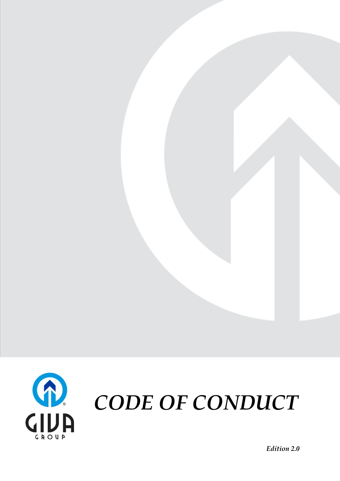

*CODE OF CONDUCT*

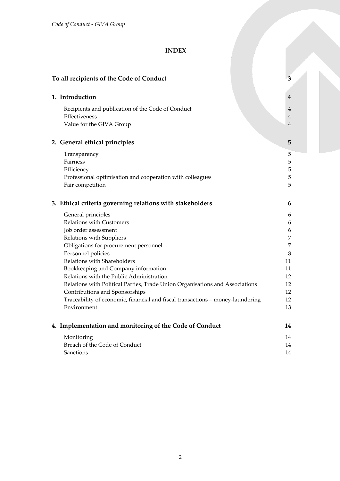# **INDEX**

| To all recipients of the Code of Conduct                                                                         | 3                   |
|------------------------------------------------------------------------------------------------------------------|---------------------|
| 1. Introduction                                                                                                  | 4                   |
| Recipients and publication of the Code of Conduct<br>Effectiveness                                               | $\overline{4}$<br>4 |
| Value for the GIVA Group                                                                                         | $\overline{4}$      |
| 2. General ethical principles                                                                                    | 5                   |
| Transparency                                                                                                     | 5                   |
| Fairness                                                                                                         | 5                   |
| Efficiency                                                                                                       | 5                   |
| Professional optimisation and cooperation with colleagues                                                        | 5                   |
| Fair competition                                                                                                 | 5                   |
| 3. Ethical criteria governing relations with stakeholders                                                        | 6                   |
| General principles                                                                                               | 6                   |
| Relations with Customers                                                                                         | 6                   |
| Job order assessment                                                                                             | 6                   |
| Relations with Suppliers                                                                                         | 7                   |
| Obligations for procurement personnel                                                                            | 7                   |
| Personnel policies                                                                                               | 8                   |
| Relations with Shareholders                                                                                      | 11                  |
| Bookkeeping and Company information                                                                              | 11                  |
| Relations with the Public Administration                                                                         | 12                  |
| Relations with Political Parties, Trade Union Organisations and Associations                                     | 12<br>12            |
| Contributions and Sponsorships<br>Traceability of economic, financial and fiscal transactions - money-laundering | 12                  |
| Environment                                                                                                      | 13                  |
|                                                                                                                  |                     |
| 4. Implementation and monitoring of the Code of Conduct                                                          | 14                  |
| Monitoring                                                                                                       | 14                  |
| Breach of the Code of Conduct                                                                                    | 14                  |
| Sanctions                                                                                                        | 14                  |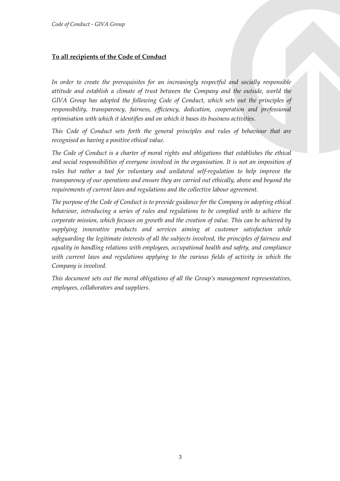# <span id="page-2-0"></span>**To all recipients of the Code of Conduct**

*In order to create the prerequisites for an increasingly respectful and socially responsible attitude and establish a climate of trust between the Company and the outside, world the GIVA Group has adopted the following Code of Conduct, which sets out the principles of responsibility, transparency, fairness, efficiency, dedication, cooperation and professional optimisation with which it identifies and on which it bases its business activities.*

*This Code of Conduct sets forth the general principles and rules of behaviour that are recognised as having a positive ethical value.*

*The Code of Conduct is a charter of moral rights and obligations that establishes the ethical and social responsibilities of everyone involved in the organisation. It is not an imposition of rules but rather a tool for voluntary and unilateral self-regulation to help improve the transparency of our operations and ensure they are carried out ethically, above and beyond the requirements of current laws and regulations and the collective labour agreement.*

*The purpose of the Code of Conduct is to provide guidance for the Company in adopting ethical behaviour, introducing a series of rules and regulations to be complied with to achieve the corporate mission, which focuses on growth and the creation of value. This can be achieved by supplying innovative products and services aiming at customer satisfaction while safeguarding the legitimate interests of all the subjects involved, the principles of fairness and equality in handling relations with employees, occupational health and safety, and compliance with current laws and regulations applying to the various fields of activity in which the Company is involved.*

*This document sets out the moral obligations of all the Group's management representatives, employees, collaborators and suppliers.*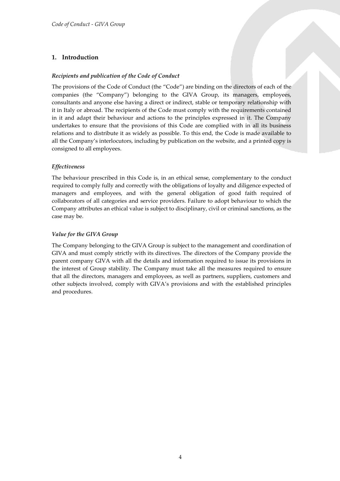## <span id="page-3-0"></span>**1. Introduction**

### <span id="page-3-1"></span>*Recipients and publication of the Code of Conduct*

The provisions of the Code of Conduct (the "Code") are binding on the directors of each of the companies (the "Company") belonging to the GIVA Group, its managers, employees, consultants and anyone else having a direct or indirect, stable or temporary relationship with it in Italy or abroad. The recipients of the Code must comply with the requirements contained in it and adapt their behaviour and actions to the principles expressed in it. The Company undertakes to ensure that the provisions of this Code are complied with in all its business relations and to distribute it as widely as possible. To this end, the Code is made available to all the Company's interlocutors, including by publication on the website, and a printed copy is consigned to all employees.

### <span id="page-3-2"></span>*Effectiveness*

The behaviour prescribed in this Code is, in an ethical sense, complementary to the conduct required to comply fully and correctly with the obligations of loyalty and diligence expected of managers and employees, and with the general obligation of good faith required of collaborators of all categories and service providers. Failure to adopt behaviour to which the Company attributes an ethical value is subject to disciplinary, civil or criminal sanctions, as the case may be.

### <span id="page-3-3"></span>*Value for the GIVA Group*

The Company belonging to the GIVA Group is subject to the management and coordination of GIVA and must comply strictly with its directives. The directors of the Company provide the parent company GIVA with all the details and information required to issue its provisions in the interest of Group stability. The Company must take all the measures required to ensure that all the directors, managers and employees, as well as partners, suppliers, customers and other subjects involved, comply with GIVA's provisions and with the established principles and procedures.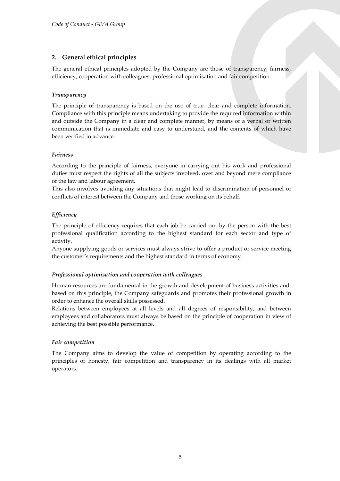## <span id="page-4-0"></span>**2. General ethical principles**

The general ethical principles adopted by the Company are those of transparency, fairness, efficiency, cooperation with colleagues, professional optimisation and fair competition.

### <span id="page-4-1"></span>*Transparency*

The principle of transparency is based on the use of true, clear and complete information. Compliance with this principle means undertaking to provide the required information within and outside the Company in a clear and complete manner, by means of a verbal or written communication that is immediate and easy to understand, and the contents of which have been verified in advance.

### <span id="page-4-2"></span>*Fairness*

According to the principle of fairness, everyone in carrying out his work and professional duties must respect the rights of all the subjects involved, over and beyond mere compliance of the law and labour agreement.

This also involves avoiding any situations that might lead to discrimination of personnel or conflicts of interest between the Company and those working on its behalf.

### <span id="page-4-3"></span>*Efficiency*

The principle of efficiency requires that each job be carried out by the person with the best professional qualification according to the highest standard for each sector and type of activity.

Anyone supplying goods or services must always strive to offer a product or service meeting the customer's requirements and the highest standard in terms of economy.

### <span id="page-4-4"></span>*Professional optimisation and cooperation with colleagues*

Human resources are fundamental in the growth and development of business activities and, based on this principle, the Company safeguards and promotes their professional growth in order to enhance the overall skills possessed.

Relations between employees at all levels and all degrees of responsibility, and between employees and collaborators must always be based on the principle of cooperation in view of achieving the best possible performance.

### <span id="page-4-5"></span>*Fair competition*

The Company aims to develop the value of competition by operating according to the principles of honesty, fair competition and transparency in its dealings with all market operators.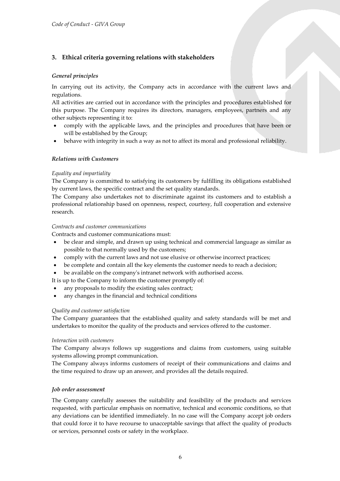## <span id="page-5-0"></span>**3. Ethical criteria governing relations with stakeholders**

### <span id="page-5-1"></span>*General principles*

In carrying out its activity, the Company acts in accordance with the current laws and regulations.

All activities are carried out in accordance with the principles and procedures established for this purpose. The Company requires its directors, managers, employees, partners and any other subjects representing it to:

- comply with the applicable laws, and the principles and procedures that have been or will be established by the Group;
- <span id="page-5-2"></span>behave with integrity in such a way as not to affect its moral and professional reliability.

### *Relations with Customers*

#### *Equality and impartiality*

The Company is committed to satisfying its customers by fulfilling its obligations established by current laws, the specific contract and the set quality standards.

The Company also undertakes not to discriminate against its customers and to establish a professional relationship based on openness, respect, courtesy, full cooperation and extensive research.

#### *Contracts and customer communications*

Contracts and customer communications must:

- be clear and simple, and drawn up using technical and commercial language as similar as possible to that normally used by the customers;
- comply with the current laws and not use elusive or otherwise incorrect practices;
- be complete and contain all the key elements the customer needs to reach a decision;
- be available on the company's intranet network with authorised access.

It is up to the Company to inform the customer promptly of:

- any proposals to modify the existing sales contract;
- any changes in the financial and technical conditions

#### *Quality and customer satisfaction*

The Company guarantees that the established quality and safety standards will be met and undertakes to monitor the quality of the products and services offered to the customer.

#### *Interaction with customers*

The Company always follows up suggestions and claims from customers, using suitable systems allowing prompt communication.

The Company always informs customers of receipt of their communications and claims and the time required to draw up an answer, and provides all the details required.

#### <span id="page-5-3"></span>*Job order assessment*

The Company carefully assesses the suitability and feasibility of the products and services requested, with particular emphasis on normative, technical and economic conditions, so that any deviations can be identified immediately. In no case will the Company accept job orders that could force it to have recourse to unacceptable savings that affect the quality of products or services, personnel costs or safety in the workplace.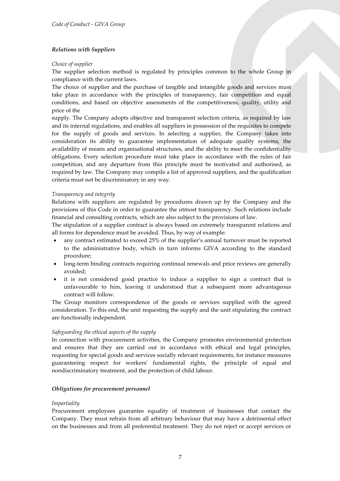### <span id="page-6-0"></span>*Relations with Suppliers*

#### *Choice of supplier*

The supplier selection method is regulated by principles common to the whole Group in compliance with the current laws.

The choice of supplier and the purchase of tangible and intangible goods and services must take place in accordance with the principles of transparency, fair competition and equal conditions, and based on objective assessments of the competitiveness, quality, utility and price of the

supply. The Company adopts objective and transparent selection criteria, as required by law and its internal regulations, and enables all suppliers in possession of the requisites to compete for the supply of goods and services. In selecting a supplier, the Company takes into consideration its ability to guarantee implementation of adequate quality systems, the availability of means and organisational structures, and the ability to meet the confidentiality obligations. Every selection procedure must take place in accordance with the rules of fair competition, and any departure from this principle must be motivated and authorised, as required by law. The Company may compile a list of approved suppliers, and the qualification criteria must not be discriminatory in any way.

#### *Transparency and integrity*

Relations with suppliers are regulated by procedures drawn up by the Company and the provisions of this Code in order to guarantee the utmost transparency. Such relations include financial and consulting contracts, which are also subject to the provisions of law.

The stipulation of a supplier contract is always based on extremely transparent relations and all forms for dependence must be avoided. Thus, by way of example:

- any contract estimated to exceed 25% of the supplier's annual turnover must be reported to the administrative body, which in turn informs GIVA according to the standard procedure;
- long-term binding contracts requiring continual renewals and price reviews are generally avoided;
- it is not considered good practice to induce a supplier to sign a contract that is unfavourable to him, leaving it understood that a subsequent more advantageous contract will follow.

The Group monitors correspondence of the goods or services supplied with the agreed consideration. To this end, the unit requesting the supply and the unit stipulating the contract are functionally independent.

#### *Safeguarding the ethical aspects of the supply*

In connection with procurement activities, the Company promotes environmental protection and ensures that they are carried out in accordance with ethical and legal principles, requesting for special goods and services socially relevant requirements, for instance measures guaranteeing respect for workers' fundamental rights, the principle of equal and nondiscriminatory treatment, and the protection of child labour.

#### <span id="page-6-1"></span>*Obligations for procurement personnel*

#### *Impartiality*

Procurement employees guarantee equality of treatment of businesses that contact the Company. They must refrain from all arbitrary behaviour that may have a detrimental effect on the businesses and from all preferential treatment. They do not reject or accept services or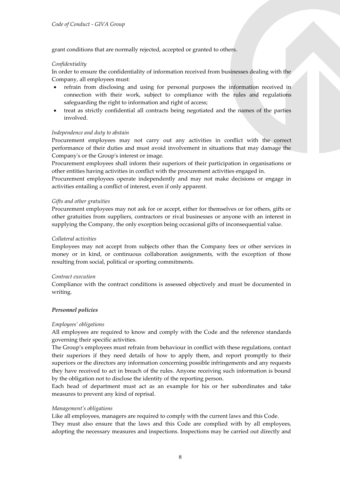grant conditions that are normally rejected, accepted or granted to others.

#### *Confidentiality*

In order to ensure the confidentiality of information received from businesses dealing with the Company, all employees must:

- refrain from disclosing and using for personal purposes the information received in connection with their work, subject to compliance with the rules and regulations safeguarding the right to information and right of access;
- treat as strictly confidential all contracts being negotiated and the names of the parties involved.

#### *Independence and duty to abstain*

Procurement employees may not carry out any activities in conflict with the correct performance of their duties and must avoid involvement in situations that may damage the Company's or the Group's interest or image.

Procurement employees shall inform their superiors of their participation in organisations or other entities having activities in conflict with the procurement activities engaged in.

Procurement employees operate independently and may not make decisions or engage in activities entailing a conflict of interest, even if only apparent.

#### *Gifts and other gratuities*

Procurement employees may not ask for or accept, either for themselves or for others, gifts or other gratuities from suppliers, contractors or rival businesses or anyone with an interest in supplying the Company, the only exception being occasional gifts of inconsequential value.

#### *Collateral activities*

Employees may not accept from subjects other than the Company fees or other services in money or in kind, or continuous collaboration assignments, with the exception of those resulting from social, political or sporting commitments.

#### *Contract execution*

Compliance with the contract conditions is assessed objectively and must be documented in writing.

#### <span id="page-7-0"></span>*Personnel policies*

#### *Employees' obligations*

All employees are required to know and comply with the Code and the reference standards governing their specific activities.

The Group's employees must refrain from behaviour in conflict with these regulations, contact their superiors if they need details of how to apply them, and report promptly to their superiors or the directors any information concerning possible infringements and any requests they have received to act in breach of the rules. Anyone receiving such information is bound by the obligation not to disclose the identity of the reporting person.

Each head of department must act as an example for his or her subordinates and take measures to prevent any kind of reprisal.

#### *Management's obligations*

Like all employees, managers are required to comply with the current laws and this Code. They must also ensure that the laws and this Code are complied with by all employees, adopting the necessary measures and inspections. Inspections may be carried out directly and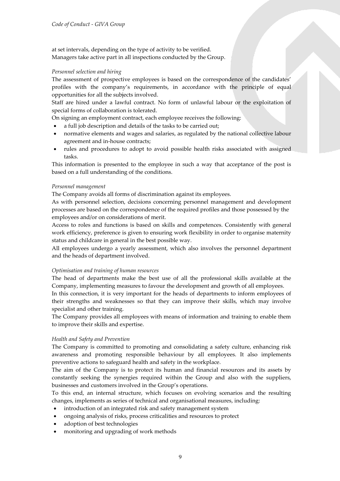at set intervals, depending on the type of activity to be verified. Managers take active part in all inspections conducted by the Group.

#### *Personnel selection and hiring*

The assessment of prospective employees is based on the correspondence of the candidates' profiles with the company's requirements, in accordance with the principle of equal opportunities for all the subjects involved.

Staff are hired under a lawful contract. No form of unlawful labour or the exploitation of special forms of collaboration is tolerated.

On signing an employment contract, each employee receives the following:

- a full job description and details of the tasks to be carried out;
- normative elements and wages and salaries, as regulated by the national collective labour agreement and in-house contracts;
- rules and procedures to adopt to avoid possible health risks associated with assigned tasks.

This information is presented to the employee in such a way that acceptance of the post is based on a full understanding of the conditions.

#### *Personnel management*

The Company avoids all forms of discrimination against its employees.

As with personnel selection, decisions concerning personnel management and development processes are based on the correspondence of the required profiles and those possessed by the employees and/or on considerations of merit.

Access to roles and functions is based on skills and competences. Consistently with general work efficiency, preference is given to ensuring work flexibility in order to organise maternity status and childcare in general in the best possible way.

All employees undergo a yearly assessment, which also involves the personnel department and the heads of department involved.

#### *Optimisation and training of human resources*

The head of departments make the best use of all the professional skills available at the Company, implementing measures to favour the development and growth of all employees.

In this connection, it is very important for the heads of departments to inform employees of their strengths and weaknesses so that they can improve their skills, which may involve specialist and other training.

The Company provides all employees with means of information and training to enable them to improve their skills and expertise.

### *Health and Safety and Prevention*

The Company is committed to promoting and consolidating a safety culture, enhancing risk awareness and promoting responsible behaviour by all employees. It also implements preventive actions to safeguard health and safety in the workplace.

The aim of the Company is to protect its human and financial resources and its assets by constantly seeking the synergies required within the Group and also with the suppliers, businesses and customers involved in the Group's operations.

To this end, an internal structure, which focuses on evolving scenarios and the resulting changes, implements as series of technical and organisational measures, including:

- introduction of an integrated risk and safety management system
- ongoing analysis of risks, process criticalities and resources to protect
- adoption of best technologies
- monitoring and upgrading of work methods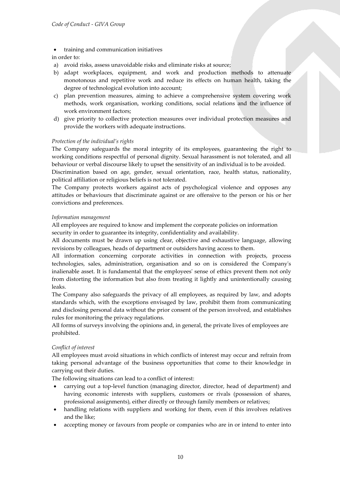- training and communication initiatives
- in order to:
- a) avoid risks, assess unavoidable risks and eliminate risks at source;
- b) adapt workplaces, equipment, and work and production methods to attenuate monotonous and repetitive work and reduce its effects on human health, taking the degree of technological evolution into account;
- c) plan prevention measures, aiming to achieve a comprehensive system covering work methods, work organisation, working conditions, social relations and the influence of work environment factors;
- d) give priority to collective protection measures over individual protection measures and provide the workers with adequate instructions.

#### *Protection of the individual's rights*

The Company safeguards the moral integrity of its employees, guaranteeing the right to working conditions respectful of personal dignity. Sexual harassment is not tolerated, and all behaviour or verbal discourse likely to upset the sensitivity of an individual is to be avoided. Discrimination based on age, gender, sexual orientation, race, health status, nationality, political affiliation or religious beliefs is not tolerated.

The Company protects workers against acts of psychological violence and opposes any attitudes or behaviours that discriminate against or are offensive to the person or his or her convictions and preferences.

#### *Information management*

All employees are required to know and implement the corporate policies on information security in order to guarantee its integrity, confidentiality and availability.

All documents must be drawn up using clear, objective and exhaustive language, allowing revisions by colleagues, heads of department or outsiders having access to them.

All information concerning corporate activities in connection with projects, process technologies, sales, administration, organisation and so on is considered the Company's inalienable asset. It is fundamental that the employees' sense of ethics prevent them not only from distorting the information but also from treating it lightly and unintentionally causing leaks.

The Company also safeguards the privacy of all employees, as required by law, and adopts standards which, with the exceptions envisaged by law, prohibit them from communicating and disclosing personal data without the prior consent of the person involved, and establishes rules for monitoring the privacy regulations.

All forms of surveys involving the opinions and, in general, the private lives of employees are prohibited.

#### *Conflict of interest*

All employees must avoid situations in which conflicts of interest may occur and refrain from taking personal advantage of the business opportunities that come to their knowledge in carrying out their duties.

The following situations can lead to a conflict of interest:

- carrying out a top-level function (managing director, director, head of department) and having economic interests with suppliers, customers or rivals (possession of shares, professional assignments), either directly or through family members or relatives;
- handling relations with suppliers and working for them, even if this involves relatives and the like;
- accepting money or favours from people or companies who are in or intend to enter into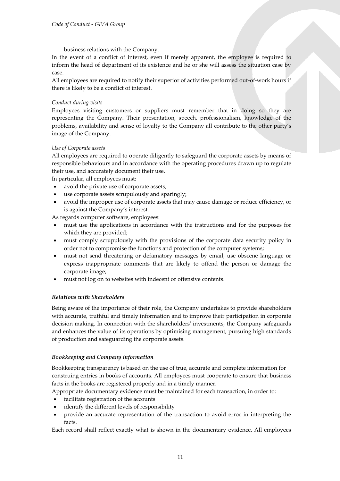business relations with the Company.

In the event of a conflict of interest, even if merely apparent, the employee is required to inform the head of department of its existence and he or she will assess the situation case by case.

All employees are required to notify their superior of activities performed out-of-work hours if there is likely to be a conflict of interest.

#### *Conduct during visits*

Employees visiting customers or suppliers must remember that in doing so they are representing the Company. Their presentation, speech, professionalism, knowledge of the problems, availability and sense of loyalty to the Company all contribute to the other party's image of the Company.

#### *Use of Corporate assets*

All employees are required to operate diligently to safeguard the corporate assets by means of responsible behaviours and in accordance with the operating procedures drawn up to regulate their use, and accurately document their use.

In particular, all employees must:

- avoid the private use of corporate assets;
- use corporate assets scrupulously and sparingly;
- avoid the improper use of corporate assets that may cause damage or reduce efficiency, or is against the Company's interest.

As regards computer software, employees:

- must use the applications in accordance with the instructions and for the purposes for which they are provided;
- must comply scrupulously with the provisions of the corporate data security policy in order not to compromise the functions and protection of the computer systems;
- must not send threatening or defamatory messages by email, use obscene language or express inappropriate comments that are likely to offend the person or damage the corporate image;
- <span id="page-10-0"></span>must not log on to websites with indecent or offensive contents.

#### *Relations with Shareholders*

Being aware of the importance of their role, the Company undertakes to provide shareholders with accurate, truthful and timely information and to improve their participation in corporate decision making. In connection with the shareholders' investments, the Company safeguards and enhances the value of its operations by optimising management, pursuing high standards of production and safeguarding the corporate assets.

#### <span id="page-10-1"></span>*Bookkeeping and Company information*

Bookkeeping transparency is based on the use of true, accurate and complete information for construing entries in books of accounts. All employees must cooperate to ensure that business facts in the books are registered properly and in a timely manner.

Appropriate documentary evidence must be maintained for each transaction, in order to:

- facilitate registration of the accounts
- identify the different levels of responsibility
- provide an accurate representation of the transaction to avoid error in interpreting the facts.

Each record shall reflect exactly what is shown in the documentary evidence. All employees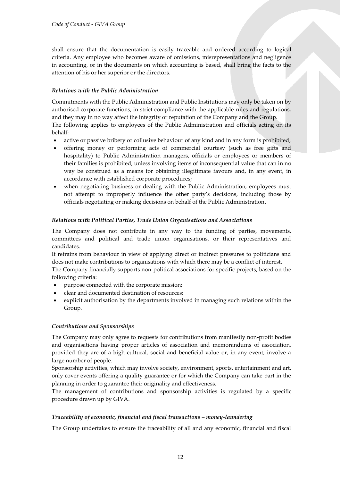shall ensure that the documentation is easily traceable and ordered according to logical criteria. Any employee who becomes aware of omissions, misrepresentations and negligence in accounting, or in the documents on which accounting is based, shall bring the facts to the attention of his or her superior or the directors.

### <span id="page-11-0"></span>*Relations with the Public Administration*

Commitments with the Public Administration and Public Institutions may only be taken on by authorised corporate functions, in strict compliance with the applicable rules and regulations, and they may in no way affect the integrity or reputation of the Company and the Group. The following applies to employees of the Public Administration and officials acting on its behalf:

- active or passive bribery or collusive behaviour of any kind and in any form is prohibited;
- offering money or performing acts of commercial courtesy (such as free gifts and hospitality) to Public Administration managers, officials or employees or members of their families is prohibited, unless involving items of inconsequential value that can in no way be construed as a means for obtaining illegitimate favours and, in any event, in accordance with established corporate procedures;
- when negotiating business or dealing with the Public Administration, employees must not attempt to improperly influence the other party's decisions, including those by officials negotiating or making decisions on behalf of the Public Administration.

#### <span id="page-11-1"></span>*Relations with Political Parties, Trade Union Organisations and Associations*

The Company does not contribute in any way to the funding of parties, movements, committees and political and trade union organisations, or their representatives and candidates.

It refrains from behaviour in view of applying direct or indirect pressures to politicians and does not make contributions to organisations with which there may be a conflict of interest.

The Company financially supports non-political associations for specific projects, based on the following criteria:

- purpose connected with the corporate mission;
- clear and documented destination of resources;
- explicit authorisation by the departments involved in managing such relations within the Group.

#### <span id="page-11-2"></span>*Contributions and Sponsorships*

The Company may only agree to requests for contributions from manifestly non-profit bodies and organisations having proper articles of association and memorandums of association, provided they are of a high cultural, social and beneficial value or, in any event, involve a large number of people.

Sponsorship activities, which may involve society, environment, sports, entertainment and art, only cover events offering a quality guarantee or for which the Company can take part in the planning in order to guarantee their originality and effectiveness.

The management of contributions and sponsorship activities is regulated by a specific procedure drawn up by GIVA.

#### <span id="page-11-3"></span>*Traceability of economic, financial and fiscal transactions – money-laundering*

The Group undertakes to ensure the traceability of all and any economic, financial and fiscal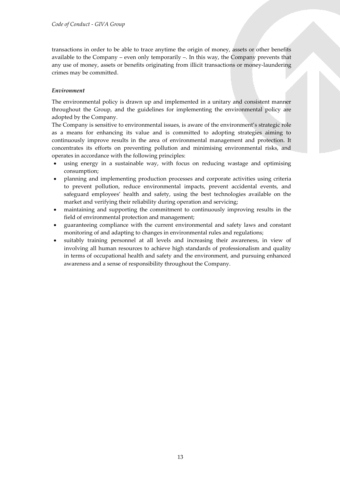transactions in order to be able to trace anytime the origin of money, assets or other benefits available to the Company – even only temporarily –. In this way, the Company prevents that any use of money, assets or benefits originating from illicit transactions or money-laundering crimes may be committed.

### <span id="page-12-0"></span>*Environment*

The environmental policy is drawn up and implemented in a unitary and consistent manner throughout the Group, and the guidelines for implementing the environmental policy are adopted by the Company.

The Company is sensitive to environmental issues, is aware of the environment's strategic role as a means for enhancing its value and is committed to adopting strategies aiming to continuously improve results in the area of environmental management and protection. It concentrates its efforts on preventing pollution and minimising environmental risks, and operates in accordance with the following principles:

- using energy in a sustainable way, with focus on reducing wastage and optimising consumption;
- planning and implementing production processes and corporate activities using criteria to prevent pollution, reduce environmental impacts, prevent accidental events, and safeguard employees' health and safety, using the best technologies available on the market and verifying their reliability during operation and servicing;
- maintaining and supporting the commitment to continuously improving results in the field of environmental protection and management;
- guaranteeing compliance with the current environmental and safety laws and constant monitoring of and adapting to changes in environmental rules and regulations;
- suitably training personnel at all levels and increasing their awareness, in view of involving all human resources to achieve high standards of professionalism and quality in terms of occupational health and safety and the environment, and pursuing enhanced awareness and a sense of responsibility throughout the Company.